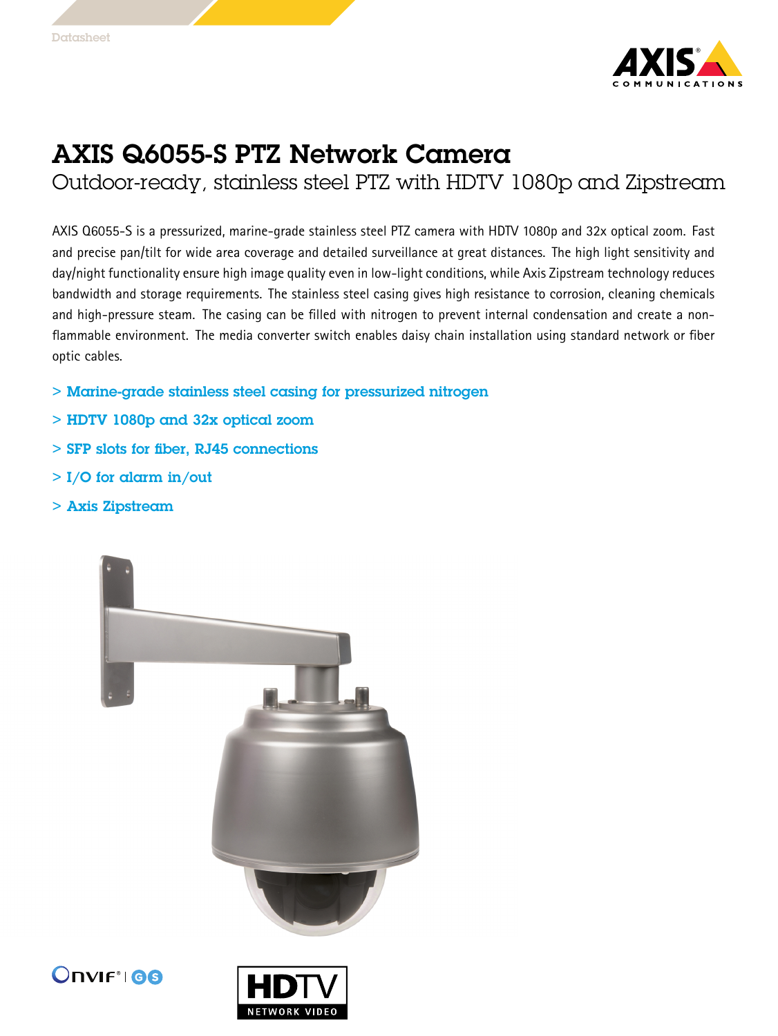

## AXIS Q6055-S PTZ Network Camera

Outdoor-ready, stainless steel PTZ with HDTV 1080p and Zipstream

AXIS Q6055-S is <sup>a</sup> pressurized, marine-grade stainless steel PTZ camera with HDTV 1080p and 32x optical zoom. Fast and precise pan/tilt for wide area coverage and detailed surveillance at great distances. The high light sensitivity and day/night functionality ensure high image quality even in low-light conditions, while Axis Zipstream technology reduces bandwidth and storage requirements. The stainless steel casing gives high resistance to corrosion, cleaning chemicals and high-pressure steam. The casing can be filled with nitrogen to prevent internal condensation and create <sup>a</sup> nonflammable environment. The media converter switch enables daisy chain installation using standard network or fiber optic cables.

- > Marine-grade stainless steel casing for pressurized nitrogen
- > HDTV 1080p and 32x optical zoom
- > SFP slots for fiber, RJ45 connections
- $>$  I/O for alarm in/out
- > Axis Zipstream





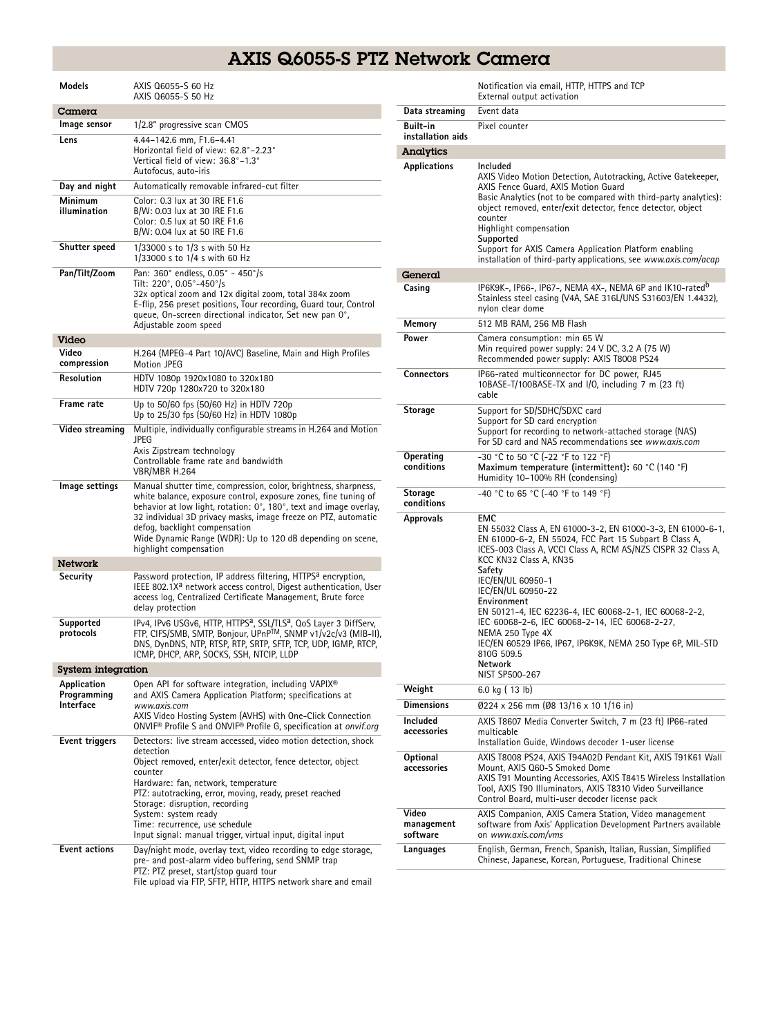## AXIS Q6055-S PTZ Network Camera

| Models                                  | AXIS Q6055-S 60 Hz<br>AXIS Q6055-S 50 Hz                                                                                                                                                                                                                                                                                                                                                                          |  |
|-----------------------------------------|-------------------------------------------------------------------------------------------------------------------------------------------------------------------------------------------------------------------------------------------------------------------------------------------------------------------------------------------------------------------------------------------------------------------|--|
| Camera                                  |                                                                                                                                                                                                                                                                                                                                                                                                                   |  |
| lmage sensor                            | 1/2.8" progressive scan CMOS                                                                                                                                                                                                                                                                                                                                                                                      |  |
| Lens                                    | 4.44-142.6 mm, F1.6-4.41<br>Horizontal field of view: 62.8°-2.23°<br>Vertical field of view: 36.8°-1.3°<br>Autofocus, auto-iris                                                                                                                                                                                                                                                                                   |  |
| Day and night                           | Automatically removable infrared-cut filter                                                                                                                                                                                                                                                                                                                                                                       |  |
| Minimum<br>illumination                 | Color: 0.3 lux at 30 IRE F1.6<br>B/W: 0.03 lux at 30 IRE F1.6<br>Color: 0.5 lux at 50 IRE F1.6<br>B/W: 0.04 lux at 50 IRE F1.6                                                                                                                                                                                                                                                                                    |  |
| Shutter speed                           | 1/33000 s to 1/3 s with 50 Hz<br>1/33000 s to 1/4 s with 60 Hz                                                                                                                                                                                                                                                                                                                                                    |  |
| Pan/Tilt/Zoom                           | Pan: 360° endless, 0.05° - 450°/s<br>Tilt: 220°, 0.05°-450°/s<br>32x optical zoom and 12x digital zoom, total 384x zoom<br>E-flip, 256 preset positions, Tour recording, Guard tour, Control<br>queue, On-screen directional indicator, Set new pan 0°,<br>Adjustable zoom speed                                                                                                                                  |  |
| Video                                   |                                                                                                                                                                                                                                                                                                                                                                                                                   |  |
| Video<br>compression                    | H.264 (MPEG-4 Part 10/AVC) Baseline, Main and High Profiles<br>Motion JPEG                                                                                                                                                                                                                                                                                                                                        |  |
| Resolution                              | HDTV 1080p 1920x1080 to 320x180<br>HDTV 720p 1280x720 to 320x180                                                                                                                                                                                                                                                                                                                                                  |  |
| Frame rate                              | Up to 50/60 fps (50/60 Hz) in HDTV 720p<br>Up to 25/30 fps (50/60 Hz) in HDTV 1080p                                                                                                                                                                                                                                                                                                                               |  |
| Video streaming                         | Multiple, individually configurable streams in H.264 and Motion<br>JPEG<br>Axis Zipstream technology<br>Controllable frame rate and bandwidth<br>VBR/MBR H.264                                                                                                                                                                                                                                                    |  |
| lmage settings                          | Manual shutter time, compression, color, brightness, sharpness,<br>white balance, exposure control, exposure zones, fine tuning of<br>behavior at low light, rotation: 0°, 180°, text and image overlay,<br>32 individual 3D privacy masks, image freeze on PTZ, automatic<br>defog, backlight compensation<br>Wide Dynamic Range (WDR): Up to 120 dB depending on scene,<br>highlight compensation               |  |
| Network                                 |                                                                                                                                                                                                                                                                                                                                                                                                                   |  |
| Security                                | Password protection, IP address filtering, HTTPS <sup>a</sup> encryption,<br>IEEE 802.1X <sup>a</sup> network access control, Digest authentication, User<br>access log, Centralized Certificate Management, Brute force<br>delay protection                                                                                                                                                                      |  |
| Supported<br>protocols                  | IPv4, IPv6 USGv6, HTTP, HTTPSª, SSL/TLSª, QoS Layer 3 DiffServ,<br>FTP, CIFS/SMB, SMTP, Bonjour, UPnPTM, SNMP v1/v2c/v3 (MIB-II),<br>DNS, DynDNS, NTP, RTSP, RTP, SRTP, SFTP, TCP, UDP, IGMP, RTCP,<br>ICMP, DHCP, ARP, SOCKS, SSH, NTCIP, LLDP                                                                                                                                                                   |  |
| System integration                      |                                                                                                                                                                                                                                                                                                                                                                                                                   |  |
| Application<br>Programming<br>Interface | Open API for software integration, including VAPIX <sup>®</sup><br>and AXIS Camera Application Platform; specifications at<br>www.axis.com<br>AXIS Video Hosting System (AVHS) with One-Click Connection<br>ONVIF® Profile S and ONVIF® Profile G, specification at onvif.org                                                                                                                                     |  |
| Event triggers                          | Detectors: live stream accessed, video motion detection, shock<br>detection<br>Object removed, enter/exit detector, fence detector, object<br>counter<br>Hardware: fan, network, temperature<br>PTZ: autotracking, error, moving, ready, preset reached<br>Storage: disruption, recording<br>System: system ready<br>Time: recurrence, use schedule<br>Input signal: manual trigger, virtual input, digital input |  |
| <b>Event actions</b>                    | Day/night mode, overlay text, video recording to edge storage,<br>pre- and post-alarm video buffering, send SNMP trap<br>PTZ: PTZ preset, start/stop guard tour<br>File upload via FTP, SFTP, HTTP, HTTPS network share and email                                                                                                                                                                                 |  |

|                                 | Notification via email, HTTP, HTTPS and TCP<br>External output activation                                                                                                                                                                                                                                                                                                                                                                                                                                                                  |
|---------------------------------|--------------------------------------------------------------------------------------------------------------------------------------------------------------------------------------------------------------------------------------------------------------------------------------------------------------------------------------------------------------------------------------------------------------------------------------------------------------------------------------------------------------------------------------------|
| Data streaming                  | Event data                                                                                                                                                                                                                                                                                                                                                                                                                                                                                                                                 |
| Built-in<br>installation aids   | Pixel counter                                                                                                                                                                                                                                                                                                                                                                                                                                                                                                                              |
| Analytics                       |                                                                                                                                                                                                                                                                                                                                                                                                                                                                                                                                            |
| Applications                    | Included<br>AXIS Video Motion Detection, Autotracking, Active Gatekeeper,<br>AXIS Fence Guard, AXIS Motion Guard<br>Basic Analytics (not to be compared with third-party analytics):<br>object removed, enter/exit detector, fence detector, object<br>counter<br>Highlight compensation<br>Supported<br>Support for AXIS Camera Application Platform enabling<br>installation of third-party applications, see www.axis.com/acap                                                                                                          |
| General                         |                                                                                                                                                                                                                                                                                                                                                                                                                                                                                                                                            |
| Casing                          | IP6K9K-, IP66-, IP67-, NEMA 4X-, NEMA 6P and IK10-rated <sup>b</sup><br>Stainless steel casing (V4A, SAE 316L/UNS S31603/EN 1.4432),<br>nylon clear dome                                                                                                                                                                                                                                                                                                                                                                                   |
| Memory                          | 512 MB RAM, 256 MB Flash                                                                                                                                                                                                                                                                                                                                                                                                                                                                                                                   |
| Power                           | Camera consumption: min 65 W<br>Min required power supply: 24 V DC, 3.2 A (75 W)<br>Recommended power supply: AXIS T8008 PS24                                                                                                                                                                                                                                                                                                                                                                                                              |
| <b>Connectors</b>               | IP66-rated multiconnector for DC power, RJ45<br>10BASE-T/100BASE-TX and I/O, including 7 m (23 ft)<br>cable                                                                                                                                                                                                                                                                                                                                                                                                                                |
| Storage                         | Support for SD/SDHC/SDXC card<br>Support for SD card encryption<br>Support for recording to network-attached storage (NAS)<br>For SD card and NAS recommendations see www.axis.com                                                                                                                                                                                                                                                                                                                                                         |
| Operating<br>conditions         | -30 °C to 50 °C (-22 °F to 122 °F)<br>Maximum temperature (intermittent): 60 °C (140 °F)<br>Humidity 10-100% RH (condensing)                                                                                                                                                                                                                                                                                                                                                                                                               |
| <b>Storage</b><br>conditions    | -40 °C to 65 °C (-40 °F to 149 °F)                                                                                                                                                                                                                                                                                                                                                                                                                                                                                                         |
| Approvals                       | <b>EMC</b><br>EN 55032 Class A, EN 61000-3-2, EN 61000-3-3, EN 61000-6-1,<br>EN 61000-6-2, EN 55024, FCC Part 15 Subpart B Class A,<br>ICES-003 Class A, VCCI Class A, RCM AS/NZS CISPR 32 Class A,<br>KCC KN32 Class A, KN35<br>Safety<br>IEC/EN/UL 60950-1<br>IEC/EN/UL 60950-22<br>Environment<br>EN 50121-4, IEC 62236-4, IEC 60068-2-1, IEC 60068-2-2,<br>IEC 60068-2-6, IEC 60068-2-14, IEC 60068-2-27,<br>NEMA 250 Type 4X<br>IEC/EN 60529 IP66, IP67, IP6K9K, NEMA 250 Type 6P, MIL-STD<br>810G 509.5<br>Network<br>NIST SP500-267 |
| Weight                          | 6.0 kg (13 lb)                                                                                                                                                                                                                                                                                                                                                                                                                                                                                                                             |
| <b>Dimensions</b>               | Ø224 x 256 mm (Ø8 13/16 x 10 1/16 in)                                                                                                                                                                                                                                                                                                                                                                                                                                                                                                      |
| Included<br>accessories         | AXIS T8607 Media Converter Switch, 7 m (23 ft) IP66-rated<br>multicable<br>Installation Guide, Windows decoder 1-user license                                                                                                                                                                                                                                                                                                                                                                                                              |
| Optional<br>accessories         | AXIS T8008 PS24, AXIS T94A02D Pendant Kit, AXIS T91K61 Wall<br>Mount, AXIS Q60-S Smoked Dome<br>AXIS T91 Mounting Accessories, AXIS T8415 Wireless Installation<br>Tool, AXIS T90 Illuminators, AXIS T8310 Video Surveillance<br>Control Board, multi-user decoder license pack                                                                                                                                                                                                                                                            |
| Video<br>management<br>software | AXIS Companion, AXIS Camera Station, Video management<br>software from Axis' Application Development Partners available<br>on www.axis.com/vms                                                                                                                                                                                                                                                                                                                                                                                             |
| Languages                       | English, German, French, Spanish, Italian, Russian, Simplified<br>Chinese, Japanese, Korean, Portuguese, Traditional Chinese                                                                                                                                                                                                                                                                                                                                                                                                               |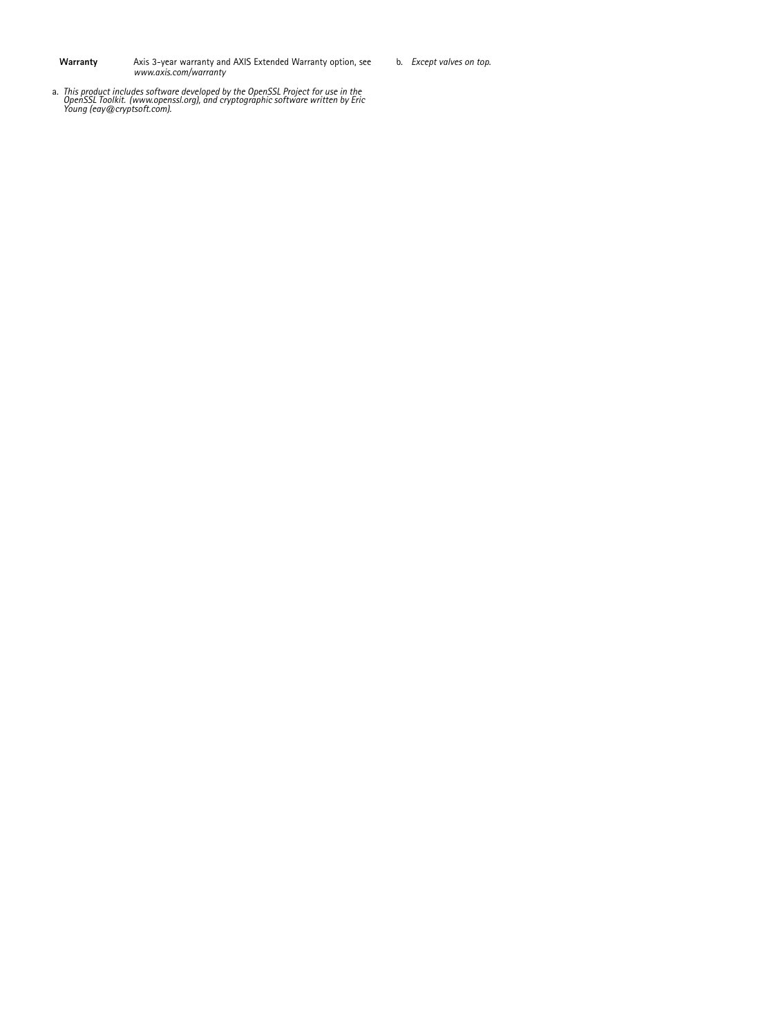**Warranty** Axis 3-year warranty and AXIS Extended Warranty option, see *www.axis.com/warranty*

- b. *Except valves on top.*
- a. This product includes software developed by the OpenSSL Project for use in the<br>OpenSSL Toolkit. (www.openssl.org), and cryptographic software written by Eric<br>Young (eay@cryptsoft.com).